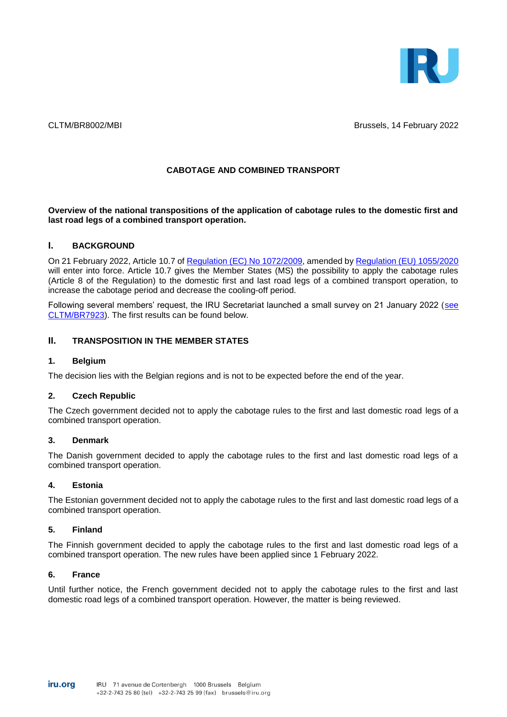

CLTM/BR8002/MBI Brussels, 14 February 2022

### **CABOTAGE AND COMBINED TRANSPORT**

**Overview of the national transpositions of the application of cabotage rules to the domestic first and last road legs of a combined transport operation.**

### **I. BACKGROUND**

On 21 February 2022, Article 10.7 of [Regulation \(EC\) No 1072/2009,](https://eur-lex.europa.eu/legal-content/EN/ALL/?uri=CELEX%3A32009R1072) amended by [Regulation \(EU\) 1055/2020](https://eur-lex.europa.eu/legal-content/EN/TXT/?uri=CELEX%3A32020R1055) will enter into force. Article 10.7 gives the Member States (MS) the possibility to apply the cabotage rules (Article 8 of the Regulation) to the domestic first and last road legs of a combined transport operation, to increase the cabotage period and decrease the cooling-off period.

Following several members' request, the IRU Secretariat launched a small survey on 21 January 2022 [\(see](https://www.iru.org/apps/dme-app?id=CLTM_BR7923_E)  [CLTM/BR7923\)](https://www.iru.org/apps/dme-app?id=CLTM_BR7923_E). The first results can be found below.

# **II. TRANSPOSITION IN THE MEMBER STATES**

### **1. Belgium**

The decision lies with the Belgian regions and is not to be expected before the end of the year.

#### **2. Czech Republic**

The Czech government decided not to apply the cabotage rules to the first and last domestic road legs of a combined transport operation.

#### **3. Denmark**

The Danish government decided to apply the cabotage rules to the first and last domestic road legs of a combined transport operation.

#### **4. Estonia**

The Estonian government decided not to apply the cabotage rules to the first and last domestic road legs of a combined transport operation.

#### **5. Finland**

The Finnish government decided to apply the cabotage rules to the first and last domestic road legs of a combined transport operation. The new rules have been applied since 1 February 2022.

#### **6. France**

Until further notice, the French government decided not to apply the cabotage rules to the first and last domestic road legs of a combined transport operation. However, the matter is being reviewed.